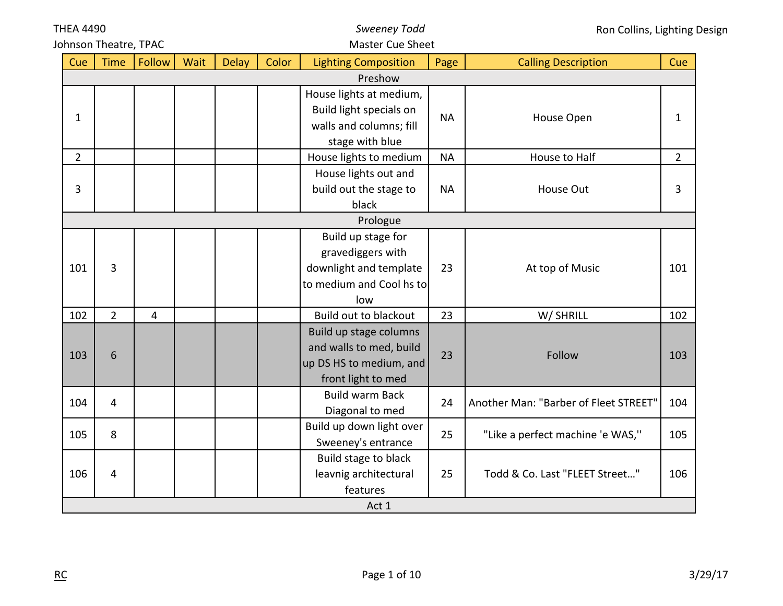| <b>THEA 4490</b><br><b>Sweeney Todd</b><br>Ron Collins, Lighting Design |                       |        |      |              |       |                             |           |                                       |                |
|-------------------------------------------------------------------------|-----------------------|--------|------|--------------|-------|-----------------------------|-----------|---------------------------------------|----------------|
|                                                                         | Johnson Theatre, TPAC |        |      |              |       | <b>Master Cue Sheet</b>     |           |                                       |                |
| Cue                                                                     | <b>Time</b>           | Follow | Wait | <b>Delay</b> | Color | <b>Lighting Composition</b> | Page      | <b>Calling Description</b>            | Cue            |
|                                                                         |                       |        |      |              |       | Preshow                     |           |                                       |                |
|                                                                         |                       |        |      |              |       | House lights at medium,     |           |                                       |                |
|                                                                         |                       |        |      |              |       | Build light specials on     | <b>NA</b> |                                       |                |
| $\mathbf 1$                                                             |                       |        |      |              |       | walls and columns; fill     |           | House Open                            | $\mathbf{1}$   |
|                                                                         |                       |        |      |              |       | stage with blue             |           |                                       |                |
| $\overline{2}$                                                          |                       |        |      |              |       | House lights to medium      | <b>NA</b> | House to Half                         | $\overline{2}$ |
|                                                                         |                       |        |      |              |       | House lights out and        |           |                                       |                |
| 3                                                                       |                       |        |      |              |       | build out the stage to      | <b>NA</b> | House Out                             | 3              |
|                                                                         |                       |        |      |              |       | black                       |           |                                       |                |
|                                                                         |                       |        |      |              |       | Prologue                    |           |                                       |                |
|                                                                         |                       |        |      |              |       | Build up stage for          |           |                                       |                |
|                                                                         |                       |        |      |              |       | gravediggers with           |           |                                       |                |
| 101                                                                     | 3                     |        |      |              |       | downlight and template      | 23        | At top of Music                       | 101            |
|                                                                         |                       |        |      |              |       | to medium and Cool hs to    |           |                                       |                |
|                                                                         |                       |        |      |              |       | low                         |           |                                       |                |
| 102                                                                     | $\overline{2}$        | 4      |      |              |       | Build out to blackout       | 23        | W/ SHRILL                             | 102            |
|                                                                         |                       |        |      |              |       | Build up stage columns      |           |                                       |                |
| 103                                                                     | 6                     |        |      |              |       | and walls to med, build     | 23        | Follow                                | 103            |
|                                                                         |                       |        |      |              |       | up DS HS to medium, and     |           |                                       |                |
|                                                                         |                       |        |      |              |       | front light to med          |           |                                       |                |
| 104                                                                     | $\overline{4}$        |        |      |              |       | <b>Build warm Back</b>      | 24        | Another Man: "Barber of Fleet STREET" | 104            |
|                                                                         |                       |        |      |              |       | Diagonal to med             |           |                                       |                |
| 105                                                                     | 8                     |        |      |              |       | Build up down light over    | 25        |                                       | 105            |
|                                                                         |                       |        |      |              |       | Sweeney's entrance          |           | "Like a perfect machine 'e WAS,"      |                |
|                                                                         |                       |        |      |              |       | Build stage to black        |           |                                       |                |
| 106                                                                     | $\overline{4}$        |        |      |              |       | leavnig architectural       | 25        | Todd & Co. Last "FLEET Street"        | 106            |
|                                                                         |                       |        |      |              |       | features                    |           |                                       |                |
|                                                                         |                       |        |      |              |       | Act 1                       |           |                                       |                |

*Sweeney Todd*

THEA 4490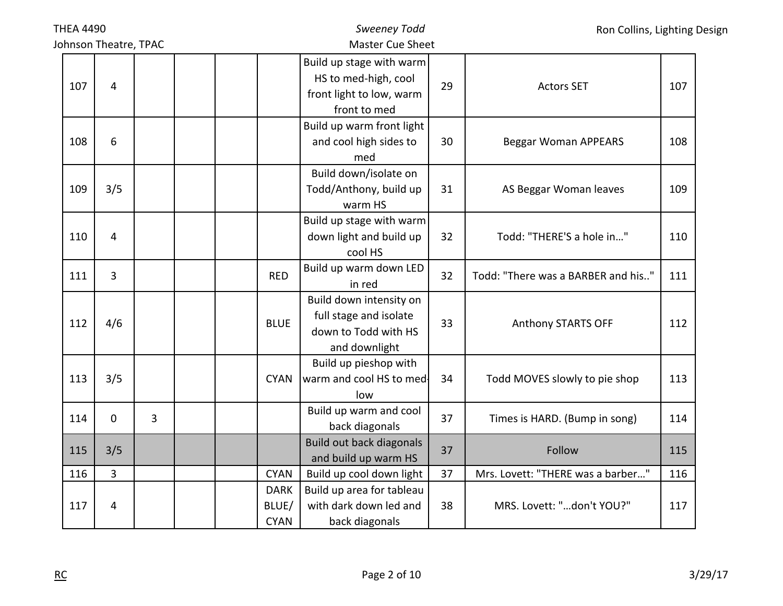| <b>THEA 4490</b>      |                |   | <b>Sweeney Todd</b>                 |                                                                                              | Ron Collins, Lighting Design |                                    |     |
|-----------------------|----------------|---|-------------------------------------|----------------------------------------------------------------------------------------------|------------------------------|------------------------------------|-----|
| Johnson Theatre, TPAC |                |   |                                     | <b>Master Cue Sheet</b>                                                                      |                              |                                    |     |
| 107                   | $\overline{4}$ |   |                                     | Build up stage with warm<br>HS to med-high, cool<br>front light to low, warm<br>front to med | 29                           | <b>Actors SET</b>                  | 107 |
| 108                   | 6              |   |                                     | Build up warm front light<br>and cool high sides to<br>med                                   | 30                           | <b>Beggar Woman APPEARS</b>        | 108 |
| 109                   | 3/5            |   |                                     | Build down/isolate on<br>Todd/Anthony, build up<br>warm HS                                   | 31                           | AS Beggar Woman leaves             | 109 |
| 110                   | 4              |   |                                     | Build up stage with warm<br>down light and build up<br>cool HS                               | 32                           | Todd: "THERE'S a hole in"          | 110 |
| 111                   | $\overline{3}$ |   | <b>RED</b>                          | Build up warm down LED<br>in red                                                             | 32                           | Todd: "There was a BARBER and his" | 111 |
| 112                   | 4/6            |   | <b>BLUE</b>                         | Build down intensity on<br>full stage and isolate<br>down to Todd with HS<br>and downlight   | 33                           | Anthony STARTS OFF                 | 112 |
| 113                   | 3/5            |   | <b>CYAN</b>                         | Build up pieshop with<br>warm and cool HS to med-<br>low                                     | 34                           | Todd MOVES slowly to pie shop      | 113 |
| 114                   | $\mathbf 0$    | 3 |                                     | Build up warm and cool<br>back diagonals                                                     | 37                           | Times is HARD. (Bump in song)      | 114 |
| 115                   | 3/5            |   |                                     | <b>Build out back diagonals</b><br>and build up warm HS                                      | 37                           | Follow                             | 115 |
| 116                   | $\overline{3}$ |   | <b>CYAN</b>                         | Build up cool down light                                                                     | 37                           | Mrs. Lovett: "THERE was a barber"  | 116 |
| 117                   | 4              |   | <b>DARK</b><br>BLUE/<br><b>CYAN</b> | Build up area for tableau<br>with dark down led and<br>back diagonals                        | 38                           | MRS. Lovett: "don't YOU?"          | 117 |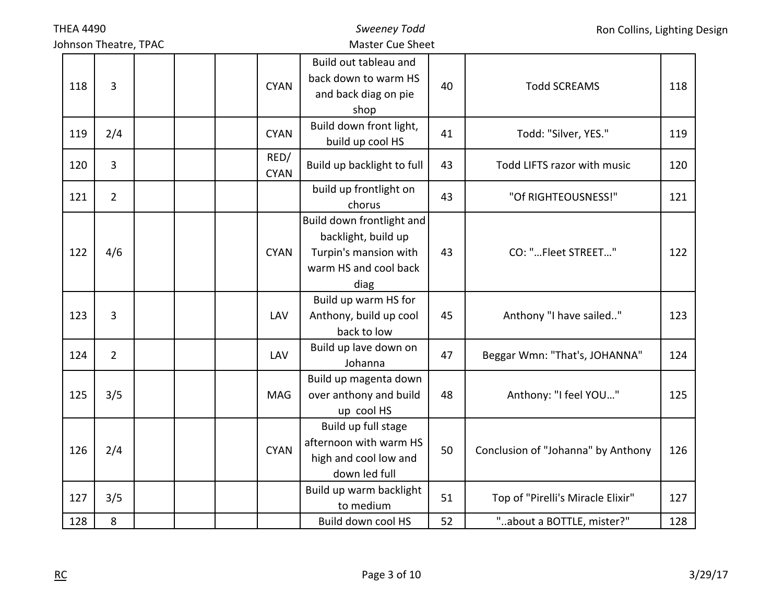|     | <b>THEA 4490</b>      |  |                     | <b>Sweeney Todd</b>                                                                                        |    | Ron Collins, Lighting Design       |     |  |
|-----|-----------------------|--|---------------------|------------------------------------------------------------------------------------------------------------|----|------------------------------------|-----|--|
|     | Johnson Theatre, TPAC |  |                     | <b>Master Cue Sheet</b>                                                                                    |    |                                    |     |  |
| 118 | 3                     |  | <b>CYAN</b>         | Build out tableau and<br>back down to warm HS<br>and back diag on pie<br>shop                              | 40 | <b>Todd SCREAMS</b>                | 118 |  |
| 119 | 2/4                   |  | <b>CYAN</b>         | Build down front light,<br>build up cool HS                                                                | 41 | Todd: "Silver, YES."               | 119 |  |
| 120 | 3                     |  | RED/<br><b>CYAN</b> | Build up backlight to full                                                                                 | 43 | Todd LIFTS razor with music        | 120 |  |
| 121 | $\overline{2}$        |  |                     | build up frontlight on<br>chorus                                                                           | 43 | "Of RIGHTEOUSNESS!"                | 121 |  |
| 122 | 4/6                   |  | <b>CYAN</b>         | Build down frontlight and<br>backlight, build up<br>Turpin's mansion with<br>warm HS and cool back<br>diag | 43 | CO: "Fleet STREET"                 | 122 |  |
| 123 | 3                     |  | LAV                 | Build up warm HS for<br>Anthony, build up cool<br>back to low                                              | 45 | Anthony "I have sailed"            | 123 |  |
| 124 | $\overline{2}$        |  | LAV                 | Build up lave down on<br>Johanna                                                                           | 47 | Beggar Wmn: "That's, JOHANNA"      | 124 |  |
| 125 | 3/5                   |  | <b>MAG</b>          | Build up magenta down<br>over anthony and build<br>up cool HS                                              | 48 | Anthony: "I feel YOU"              | 125 |  |
| 126 | 2/4                   |  | <b>CYAN</b>         | Build up full stage<br>afternoon with warm HS<br>high and cool low and<br>down led full                    | 50 | Conclusion of "Johanna" by Anthony | 126 |  |
| 127 | 3/5                   |  |                     | Build up warm backlight<br>to medium                                                                       | 51 | Top of "Pirelli's Miracle Elixir"  | 127 |  |
| 128 | 8                     |  |                     | Build down cool HS                                                                                         | 52 | "about a BOTTLE, mister?"          | 128 |  |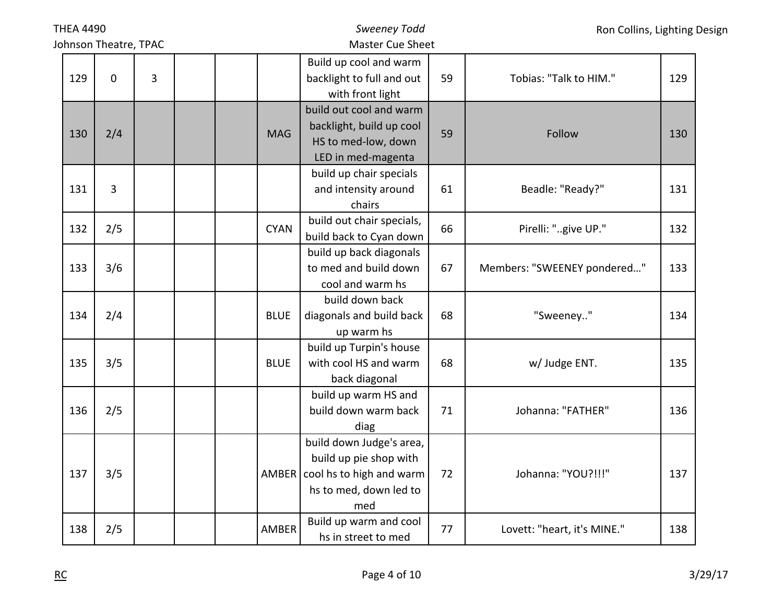|     | <b>THEA 4490</b>      |                |  |             | <b>Sweeney Todd</b>                                                                                                     |    | Ron Collins, Lighting Design |     |  |
|-----|-----------------------|----------------|--|-------------|-------------------------------------------------------------------------------------------------------------------------|----|------------------------------|-----|--|
|     | Johnson Theatre, TPAC |                |  |             | Master Cue Sheet                                                                                                        |    |                              |     |  |
| 129 | $\mathbf 0$           | $\overline{3}$ |  |             | Build up cool and warm<br>backlight to full and out<br>with front light                                                 | 59 | Tobias: "Talk to HIM."       | 129 |  |
| 130 | 2/4                   |                |  | <b>MAG</b>  | build out cool and warm<br>backlight, build up cool<br>HS to med-low, down<br>LED in med-magenta                        | 59 | Follow                       | 130 |  |
| 131 | 3                     |                |  |             | build up chair specials<br>and intensity around<br>chairs                                                               | 61 | Beadle: "Ready?"             | 131 |  |
| 132 | 2/5                   |                |  | <b>CYAN</b> | build out chair specials,<br>build back to Cyan down                                                                    | 66 | Pirelli: "give UP."          | 132 |  |
| 133 | 3/6                   |                |  |             | build up back diagonals<br>to med and build down<br>cool and warm hs                                                    | 67 | Members: "SWEENEY pondered"  | 133 |  |
| 134 | 2/4                   |                |  | <b>BLUE</b> | build down back<br>diagonals and build back<br>up warm hs                                                               | 68 | "Sweeney"                    | 134 |  |
| 135 | 3/5                   |                |  | <b>BLUE</b> | build up Turpin's house<br>with cool HS and warm<br>back diagonal                                                       | 68 | w/ Judge ENT.                | 135 |  |
| 136 | 2/5                   |                |  |             | build up warm HS and<br>build down warm back<br>diag                                                                    | 71 | Johanna: "FATHER"            | 136 |  |
| 137 | 3/5                   |                |  |             | build down Judge's area,<br>build up pie shop with<br>AMBER   cool hs to high and warm<br>hs to med, down led to<br>med | 72 | Johanna: "YOU?!!!"           | 137 |  |
| 138 | 2/5                   |                |  | AMBER       | Build up warm and cool<br>hs in street to med                                                                           | 77 | Lovett: "heart, it's MINE."  | 138 |  |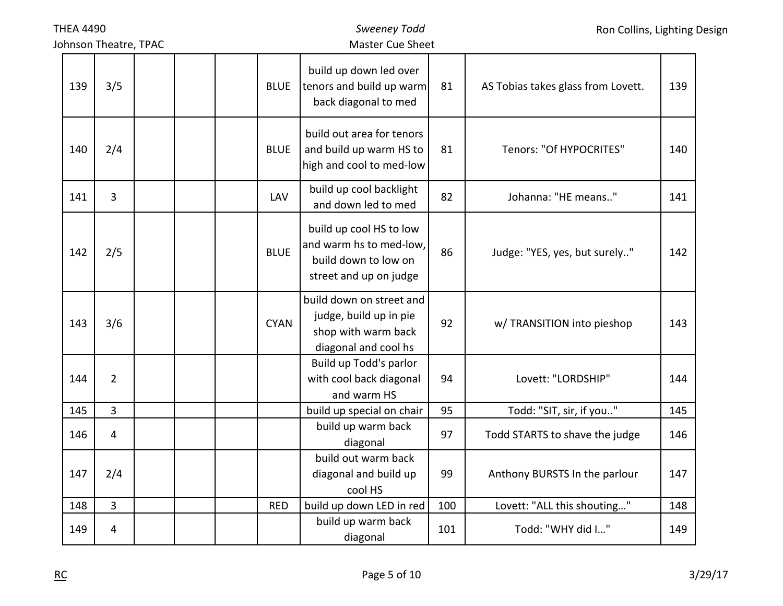| <b>THEA 4490</b> |                       |             | <b>Sweeney Todd</b>                                                                                  |     | Ron Collins, Lighting Design       |     |  |
|------------------|-----------------------|-------------|------------------------------------------------------------------------------------------------------|-----|------------------------------------|-----|--|
|                  | Johnson Theatre, TPAC |             | <b>Master Cue Sheet</b>                                                                              |     |                                    |     |  |
| 139              | 3/5                   | <b>BLUE</b> | build up down led over<br>tenors and build up warm<br>back diagonal to med                           | 81  | AS Tobias takes glass from Lovett. | 139 |  |
| 140              | 2/4                   | <b>BLUE</b> | build out area for tenors<br>and build up warm HS to<br>high and cool to med-low                     | 81  | Tenors: "Of HYPOCRITES"            | 140 |  |
| 141              | 3                     | LAV         | build up cool backlight<br>and down led to med                                                       | 82  | Johanna: "HE means"                | 141 |  |
| 142              | 2/5                   | <b>BLUE</b> | build up cool HS to low<br>and warm hs to med-low,<br>build down to low on<br>street and up on judge | 86  | Judge: "YES, yes, but surely"      | 142 |  |
| 143              | 3/6                   | <b>CYAN</b> | build down on street and<br>judge, build up in pie<br>shop with warm back<br>diagonal and cool hs    | 92  | w/ TRANSITION into pieshop         | 143 |  |
| 144              | $\overline{2}$        |             | Build up Todd's parlor<br>with cool back diagonal<br>and warm HS                                     | 94  | Lovett: "LORDSHIP"                 | 144 |  |
| 145              | 3                     |             | build up special on chair                                                                            | 95  | Todd: "SIT, sir, if you"           | 145 |  |
| 146              | $\overline{4}$        |             | build up warm back<br>diagonal                                                                       | 97  | Todd STARTS to shave the judge     | 146 |  |
| 147              | 2/4                   |             | build out warm back<br>diagonal and build up<br>cool HS                                              | 99  | Anthony BURSTS In the parlour      | 147 |  |
| 148              | $\overline{3}$        | <b>RED</b>  | build up down LED in red                                                                             | 100 | Lovett: "ALL this shouting"        | 148 |  |
| 149              | $\overline{4}$        |             | build up warm back<br>diagonal                                                                       | 101 | Todd: "WHY did I"                  | 149 |  |

THEA 4490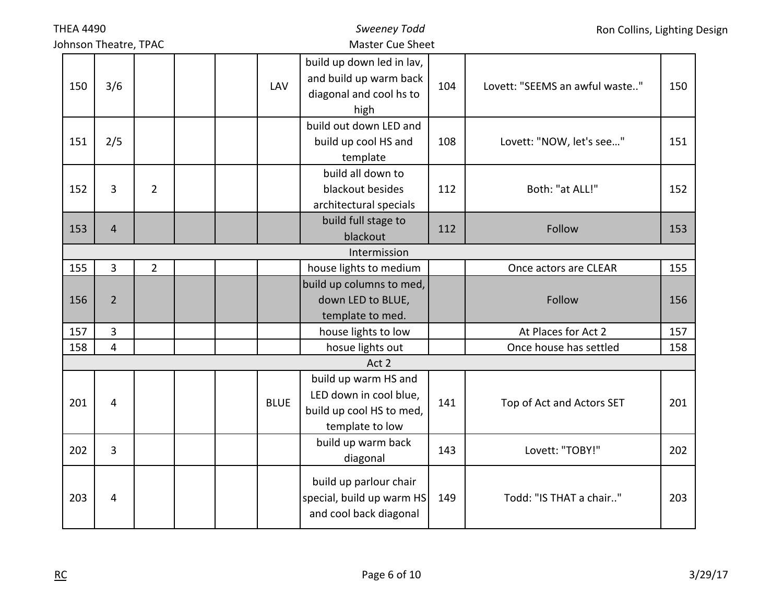| <b>THEA 4490</b>      |                |                |             | Sweeney Todd                                                                                  |     |                                | Ron Collins, Lighting Design |
|-----------------------|----------------|----------------|-------------|-----------------------------------------------------------------------------------------------|-----|--------------------------------|------------------------------|
| Johnson Theatre, TPAC |                |                |             | <b>Master Cue Sheet</b>                                                                       |     |                                |                              |
| 150                   | 3/6            |                | LAV         | build up down led in lav,<br>and build up warm back<br>diagonal and cool hs to<br>high        | 104 | Lovett: "SEEMS an awful waste" | 150                          |
| 151                   | 2/5            |                |             | build out down LED and<br>build up cool HS and<br>template                                    | 108 | Lovett: "NOW, let's see"       | 151                          |
| 152                   | 3              | $\overline{2}$ |             | build all down to<br>blackout besides<br>architectural specials                               | 112 | Both: "at ALL!"                | 152                          |
| 153                   | $\overline{4}$ |                |             | build full stage to<br>blackout                                                               | 112 | Follow                         | 153                          |
|                       |                |                |             | Intermission                                                                                  |     |                                |                              |
| 155                   | 3              | $\overline{2}$ |             | house lights to medium                                                                        |     | Once actors are CLEAR          | 155                          |
| 156                   | $\overline{2}$ |                |             | build up columns to med,<br>down LED to BLUE,<br>template to med.                             |     | Follow                         | 156                          |
| 157                   | $\overline{3}$ |                |             | house lights to low                                                                           |     | At Places for Act 2            | 157                          |
| 158                   | 4              |                |             | hosue lights out                                                                              |     | Once house has settled         | 158                          |
|                       |                |                |             | Act 2                                                                                         |     |                                |                              |
| 201                   | 4              |                | <b>BLUE</b> | build up warm HS and<br>LED down in cool blue,<br>build up cool HS to med,<br>template to low | 141 | Top of Act and Actors SET      | 201                          |
| 202                   | 3              |                |             | build up warm back<br>diagonal                                                                | 143 | Lovett: "TOBY!"                | 202                          |
| 203                   | 4              |                |             | build up parlour chair<br>special, build up warm HS<br>and cool back diagonal                 | 149 | Todd: "IS THAT a chair"        | 203                          |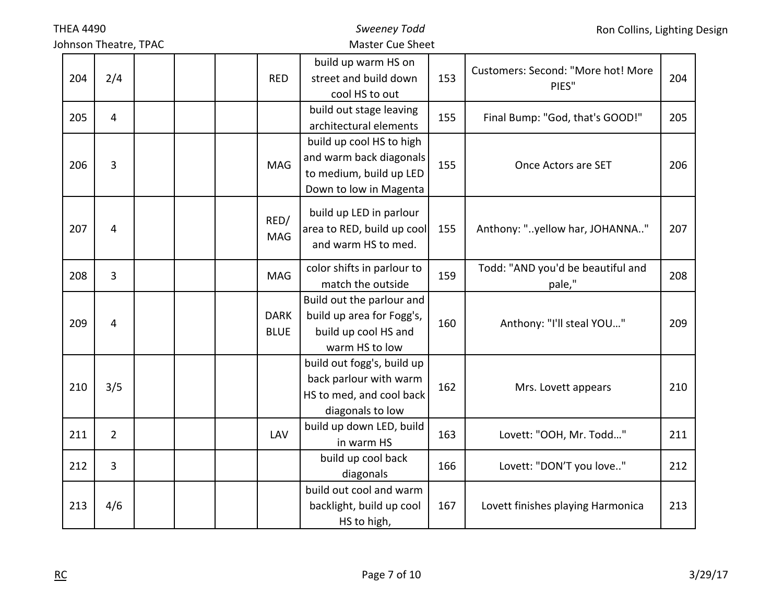|     | <b>THEA 4490</b>      |  |  | Sweeney Todd               |                                                                                                          | Ron Collins, Lighting Design |                                             |     |
|-----|-----------------------|--|--|----------------------------|----------------------------------------------------------------------------------------------------------|------------------------------|---------------------------------------------|-----|
|     | Johnson Theatre, TPAC |  |  |                            | <b>Master Cue Sheet</b>                                                                                  |                              |                                             |     |
| 204 | 2/4                   |  |  | <b>RED</b>                 | build up warm HS on<br>street and build down<br>cool HS to out                                           | 153                          | Customers: Second: "More hot! More<br>PIES" | 204 |
| 205 | $\overline{4}$        |  |  |                            | build out stage leaving<br>architectural elements                                                        | 155                          | Final Bump: "God, that's GOOD!"             | 205 |
| 206 | 3                     |  |  | MAG                        | build up cool HS to high<br>and warm back diagonals<br>to medium, build up LED<br>Down to low in Magenta | 155                          | Once Actors are SET                         | 206 |
| 207 | $\overline{4}$        |  |  | RED/<br><b>MAG</b>         | build up LED in parlour<br>area to RED, build up cool<br>and warm HS to med.                             | 155                          | Anthony: "yellow har, JOHANNA"              | 207 |
| 208 | 3                     |  |  | MAG                        | color shifts in parlour to<br>match the outside                                                          | 159                          | Todd: "AND you'd be beautiful and<br>pale," | 208 |
| 209 | $\overline{4}$        |  |  | <b>DARK</b><br><b>BLUE</b> | Build out the parlour and<br>build up area for Fogg's,<br>build up cool HS and<br>warm HS to low         | 160                          | Anthony: "I'll steal YOU"                   | 209 |
| 210 | 3/5                   |  |  |                            | build out fogg's, build up<br>back parlour with warm<br>HS to med, and cool back<br>diagonals to low     | 162                          | Mrs. Lovett appears                         | 210 |
| 211 | $\overline{2}$        |  |  | LAV                        | build up down LED, build<br>in warm HS                                                                   | 163                          | Lovett: "OOH, Mr. Todd"                     | 211 |
| 212 | 3                     |  |  |                            | build up cool back<br>diagonals                                                                          | 166                          | Lovett: "DON'T you love"                    | 212 |
| 213 | 4/6                   |  |  |                            | build out cool and warm<br>backlight, build up cool<br>HS to high,                                       | 167                          | Lovett finishes playing Harmonica           | 213 |

THEA 4490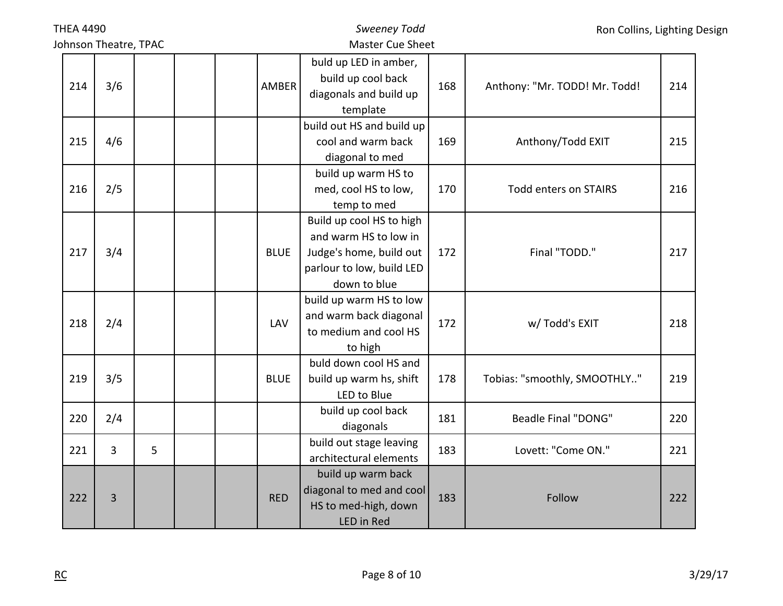|                       | <b>THEA 4490</b> |   |  |             | <b>Sweeney Todd</b>                                                                                                       |     | Ron Collins, Lighting Design  |     |  |
|-----------------------|------------------|---|--|-------------|---------------------------------------------------------------------------------------------------------------------------|-----|-------------------------------|-----|--|
| Johnson Theatre, TPAC |                  |   |  |             | <b>Master Cue Sheet</b>                                                                                                   |     |                               |     |  |
| 214                   | 3/6              |   |  | AMBER       | buld up LED in amber,<br>build up cool back<br>diagonals and build up<br>template                                         | 168 | Anthony: "Mr. TODD! Mr. Todd! | 214 |  |
| 215                   | 4/6              |   |  |             | build out HS and build up<br>cool and warm back<br>diagonal to med                                                        | 169 | Anthony/Todd EXIT             | 215 |  |
| 216                   | 2/5              |   |  |             | build up warm HS to<br>med, cool HS to low,<br>temp to med                                                                | 170 | <b>Todd enters on STAIRS</b>  | 216 |  |
| 217                   | 3/4              |   |  | <b>BLUE</b> | Build up cool HS to high<br>and warm HS to low in<br>Judge's home, build out<br>parlour to low, build LED<br>down to blue | 172 | Final "TODD."                 | 217 |  |
| 218                   | 2/4              |   |  | LAV         | build up warm HS to low<br>and warm back diagonal<br>to medium and cool HS<br>to high                                     | 172 | w/ Todd's EXIT                | 218 |  |
| 219                   | 3/5              |   |  | <b>BLUE</b> | buld down cool HS and<br>build up warm hs, shift<br>LED to Blue                                                           | 178 | Tobias: "smoothly, SMOOTHLY"  | 219 |  |
| 220                   | 2/4              |   |  |             | build up cool back<br>diagonals                                                                                           | 181 | <b>Beadle Final "DONG"</b>    | 220 |  |
| 221                   | $\overline{3}$   | 5 |  |             | build out stage leaving<br>architectural elements                                                                         | 183 | Lovett: "Come ON."            | 221 |  |
| 222                   | 3                |   |  | <b>RED</b>  | build up warm back<br>diagonal to med and cool<br>HS to med-high, down<br><b>LED</b> in Red                               | 183 | Follow                        | 222 |  |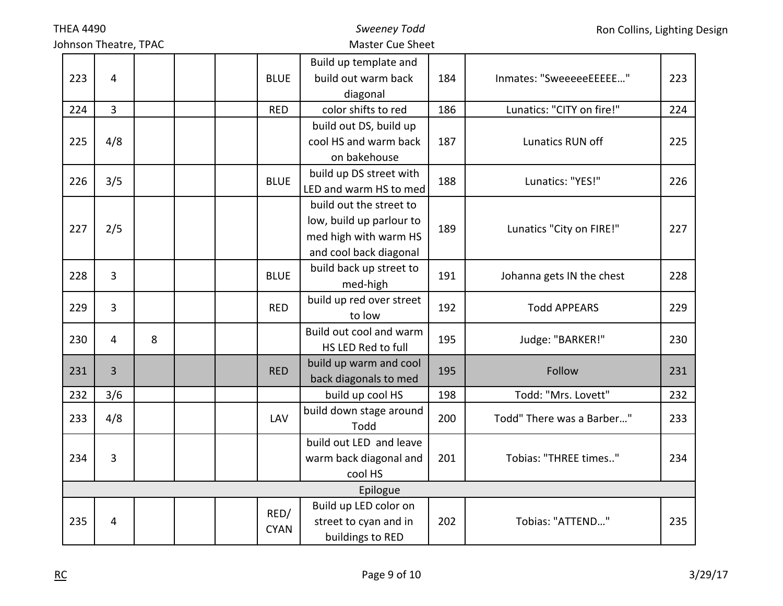Johnson Theatre, TPAC

## *Sweeney Todd* Master Cue Sheet

|     |                |   |  |             | Build up template and    |     |                           |     |
|-----|----------------|---|--|-------------|--------------------------|-----|---------------------------|-----|
| 223 | 4              |   |  | <b>BLUE</b> | build out warm back      | 184 | Inmates: "SweeeeeEEEEE"   | 223 |
|     |                |   |  |             | diagonal                 |     |                           |     |
| 224 | $\overline{3}$ |   |  | <b>RED</b>  | color shifts to red      | 186 | Lunatics: "CITY on fire!" | 224 |
|     |                |   |  |             | build out DS, build up   |     |                           |     |
| 225 | 4/8            |   |  |             | cool HS and warm back    | 187 | Lunatics RUN off          | 225 |
|     |                |   |  |             | on bakehouse             |     |                           |     |
|     |                |   |  | <b>BLUE</b> | build up DS street with  | 188 |                           |     |
| 226 | 3/5            |   |  |             | LED and warm HS to med   |     | Lunatics: "YES!"          | 226 |
|     |                |   |  |             | build out the street to  |     |                           |     |
|     | 2/5<br>227     |   |  |             | low, build up parlour to | 189 |                           | 227 |
|     |                |   |  |             | med high with warm HS    |     | Lunatics "City on FIRE!"  |     |
|     |                |   |  |             | and cool back diagonal   |     |                           |     |
|     |                |   |  |             | build back up street to  |     |                           |     |
| 228 | 3              |   |  | <b>BLUE</b> | med-high                 | 191 | Johanna gets IN the chest | 228 |
|     | $\overline{3}$ |   |  | <b>RED</b>  | build up red over street | 192 |                           |     |
| 229 |                |   |  |             | to low                   |     | <b>Todd APPEARS</b>       | 229 |
| 230 | $\overline{4}$ | 8 |  |             | Build out cool and warm  | 195 |                           | 230 |
|     |                |   |  |             | HS LED Red to full       |     | Judge: "BARKER!"          |     |
| 231 | 3              |   |  | <b>RED</b>  | build up warm and cool   | 195 | Follow                    | 231 |
|     |                |   |  |             | back diagonals to med    |     |                           |     |
| 232 | 3/6            |   |  |             | build up cool HS         | 198 | Todd: "Mrs. Lovett"       | 232 |
| 233 | 4/8            |   |  | LAV         | build down stage around  | 200 | Todd" There was a Barber" | 233 |
|     |                |   |  |             | Todd                     |     |                           |     |
|     |                |   |  |             | build out LED and leave  |     |                           |     |
| 234 | 3              |   |  |             | warm back diagonal and   | 201 | Tobias: "THREE times"     | 234 |
|     |                |   |  |             | cool HS                  |     |                           |     |
|     |                |   |  |             | Epilogue                 |     |                           |     |
|     |                |   |  | RED/        | Build up LED color on    |     |                           |     |
| 235 | 4              |   |  | <b>CYAN</b> | street to cyan and in    | 202 | Tobias: "ATTEND"          | 235 |
|     |                |   |  |             | buildings to RED         |     |                           |     |